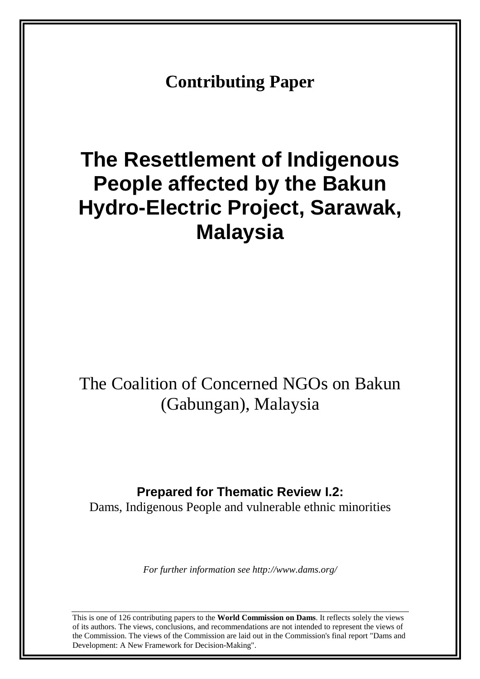**Contributing Paper** 

# **The Resettlement of Indigenous People affected by the Bakun Hydro-Electric Project, Sarawak, Malaysia**

## The Coalition of Concerned NGOs on Bakun (Gabungan), Malaysia

## **Prepared for Thematic Review I.2:**

Dams, Indigenous People and vulnerable ethnic minorities

*For further information see http://www.dams.org/*

This is one of 126 contributing papers to the **World Commission on Dams**. It reflects solely the views of its authors. The views, conclusions, and recommendations are not intended to represent the views of the Commission. The views of the Commission are laid out in the Commission's final report "Dams and Development: A New Framework for Decision-Making".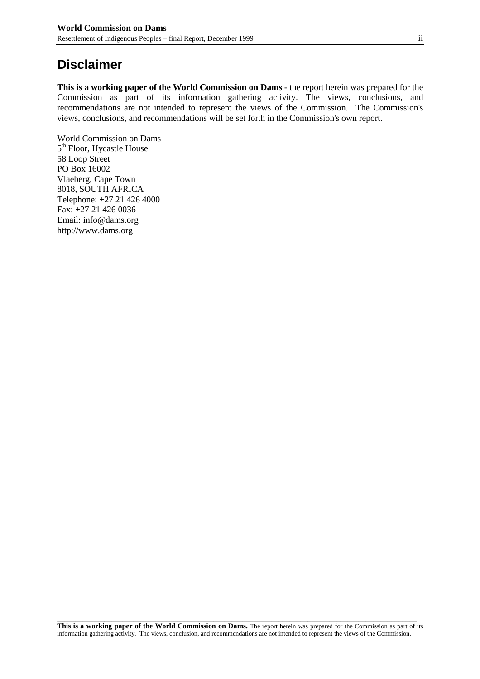## **Disclaimer**

**This is a working paper of the World Commission on Dams -** the report herein was prepared for the Commission as part of its information gathering activity. The views, conclusions, and recommendations are not intended to represent the views of the Commission. The Commission's views, conclusions, and recommendations will be set forth in the Commission's own report.

World Commission on Dams 5<sup>th</sup> Floor, Hycastle House 58 Loop Street PO Box 16002 Vlaeberg, Cape Town 8018, SOUTH AFRICA Telephone: +27 21 426 4000 Fax: +27 21 426 0036 Email: info@dams.org http://www.dams.org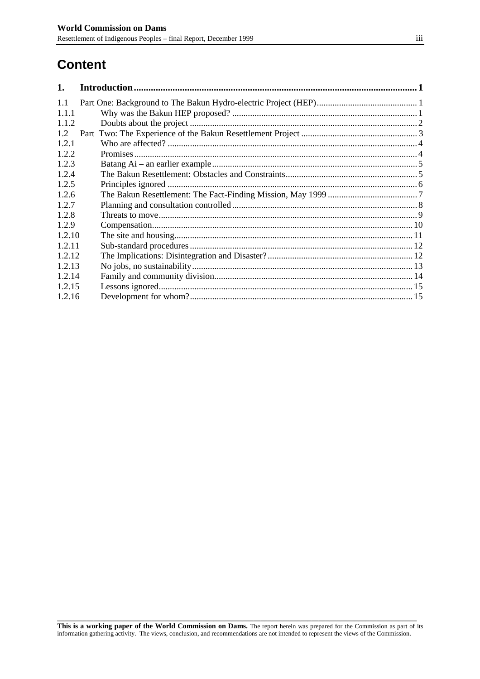## **Content**

| 1.     |  |  |  |
|--------|--|--|--|
| 1.1    |  |  |  |
| 1.1.1  |  |  |  |
| 1.1.2  |  |  |  |
| 1.2    |  |  |  |
| 1.2.1  |  |  |  |
| 1.2.2  |  |  |  |
| 1.2.3  |  |  |  |
| 1.2.4  |  |  |  |
| 1.2.5  |  |  |  |
| 1.2.6  |  |  |  |
| 1.2.7  |  |  |  |
| 1.2.8  |  |  |  |
| 1.2.9  |  |  |  |
| 1.2.10 |  |  |  |
| 1.2.11 |  |  |  |
| 1.2.12 |  |  |  |
| 1.2.13 |  |  |  |
| 1.2.14 |  |  |  |
| 1.2.15 |  |  |  |
| 1.2.16 |  |  |  |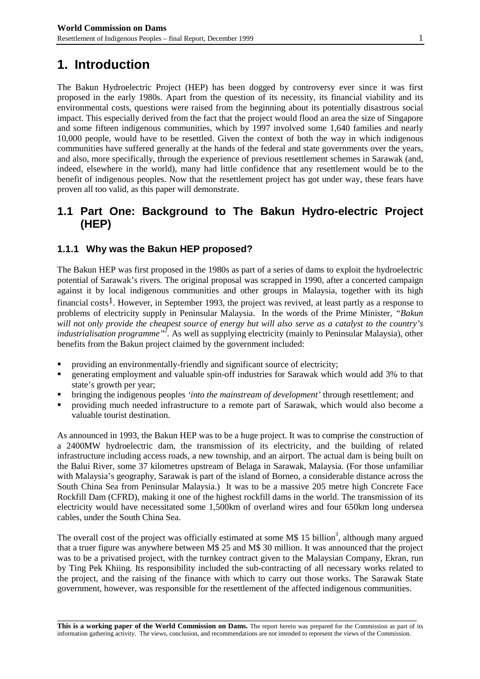## **1. Introduction**

The Bakun Hydroelectric Project (HEP) has been dogged by controversy ever since it was first

proposed in the early 1980s. Apart from the question of its necessity, its financial viability and its environmental costs, questions were raised from the beginning about its potentially disastrous social impact. This especially derived from the fact that the project would flood an area the size of Singapore and some fifteen indigenous communities, which by 1997 involved some 1,640 families and nearly 10,000 people, would have to be resettled. Given the context of both the way in which indigenous communities have suffered generally at the hands of the federal and state governments over the years, and also, more specifically, through the experience of previous resettlement schemes in Sarawak (and, indeed, elsewhere in the world), many had little confidence that any resettlement would be to the benefit of indigenous peoples. Now that the resettlement project has got under way, these fears have proven all too valid, as this paper will demonstrate.

### **1.1 Part One: Background to The Bakun Hydro-electric Project (HEP)**

#### **1.1.1 Why was the Bakun HEP proposed?**

The Bakun HEP was first proposed in the 1980s as part of a series of dams to exploit the hydroelectric potential of Sarawak's rivers. The original proposal was scrapped in 1990, after a concerted campaign against it by local indigenous communities and other groups in Malaysia, together with its high financial costs<sup>1</sup>. However, in September 1993, the project was revived, at least partly as a response to problems of electricity supply in Peninsular Malaysia. In the words of the Prime Minister, *"Bakun will not only provide the cheapest source of energy but will also serve as a catalyst to the country's industrialisation programme*<sup>22</sup>. As well as supplying electricity (mainly to Peninsular Malaysia), other benefits from the Bakun project claimed by the government included:

- providing an environmentally-friendly and significant source of electricity;
- ! generating employment and valuable spin-off industries for Sarawak which would add 3% to that state's growth per year;
- ! bringing the indigenous peoples *'into the mainstream of development'* through resettlement; and
- ! providing much needed infrastructure to a remote part of Sarawak, which would also become a valuable tourist destination.

As announced in 1993, the Bakun HEP was to be a huge project. It was to comprise the construction of a 2400MW hydroelectric dam, the transmission of its electricity, and the building of related infrastructure including access roads, a new township, and an airport. The actual dam is being built on the Balui River, some 37 kilometres upstream of Belaga in Sarawak, Malaysia. (For those unfamiliar with Malaysia's geography, Sarawak is part of the island of Borneo, a considerable distance across the South China Sea from Peninsular Malaysia.) It was to be a massive 205 metre high Concrete Face Rockfill Dam (CFRD), making it one of the highest rockfill dams in the world. The transmission of its electricity would have necessitated some 1,500km of overland wires and four 650km long undersea cables, under the South China Sea.

The overall cost of the project was officially estimated at some M\$ 15 billion<sup>3</sup>, although many argued that a truer figure was anywhere between M\$ 25 and M\$ 30 million. It was announced that the project was to be a privatised project, with the turnkey contract given to the Malaysian Company, Ekran, run by Ting Pek Khiing. Its responsibility included the sub-contracting of all necessary works related to the project, and the raising of the finance with which to carry out those works. The Sarawak State government, however, was responsible for the resettlement of the affected indigenous communities.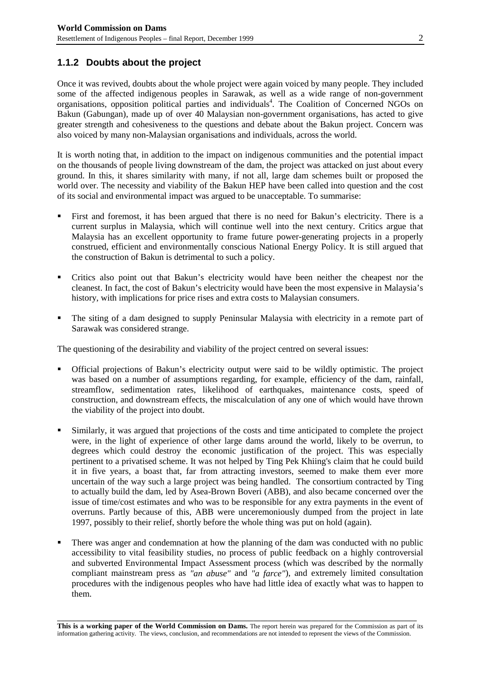#### **1.1.2 Doubts about the project**

Once it was revived, doubts about the whole project were again voiced by many people. They included some of the affected indigenous peoples in Sarawak, as well as a wide range of non-government organisations, opposition political parties and individuals<sup>4</sup>. The Coalition of Concerned NGOs on Bakun (Gabungan), made up of over 40 Malaysian non-government organisations, has acted to give greater strength and cohesiveness to the questions and debate about the Bakun project. Concern was also voiced by many non-Malaysian organisations and individuals, across the world.

It is worth noting that, in addition to the impact on indigenous communities and the potential impact on the thousands of people living downstream of the dam, the project was attacked on just about every ground. In this, it shares similarity with many, if not all, large dam schemes built or proposed the world over. The necessity and viability of the Bakun HEP have been called into question and the cost of its social and environmental impact was argued to be unacceptable. To summarise:

- ! First and foremost, it has been argued that there is no need for Bakun's electricity. There is a current surplus in Malaysia, which will continue well into the next century. Critics argue that Malaysia has an excellent opportunity to frame future power-generating projects in a properly construed, efficient and environmentally conscious National Energy Policy. It is still argued that the construction of Bakun is detrimental to such a policy.
- ! Critics also point out that Bakun's electricity would have been neither the cheapest nor the cleanest. In fact, the cost of Bakun's electricity would have been the most expensive in Malaysia's history, with implications for price rises and extra costs to Malaysian consumers.
- ! The siting of a dam designed to supply Peninsular Malaysia with electricity in a remote part of Sarawak was considered strange.

The questioning of the desirability and viability of the project centred on several issues:

- ! Official projections of Bakun's electricity output were said to be wildly optimistic. The project was based on a number of assumptions regarding, for example, efficiency of the dam, rainfall, streamflow, sedimentation rates, likelihood of earthquakes, maintenance costs, speed of construction, and downstream effects, the miscalculation of any one of which would have thrown the viability of the project into doubt.
- Similarly, it was argued that projections of the costs and time anticipated to complete the project were, in the light of experience of other large dams around the world, likely to be overrun, to degrees which could destroy the economic justification of the project. This was especially pertinent to a privatised scheme. It was not helped by Ting Pek Khiing's claim that he could build it in five years, a boast that, far from attracting investors, seemed to make them ever more uncertain of the way such a large project was being handled. The consortium contracted by Ting to actually build the dam, led by Asea-Brown Boveri (ABB), and also became concerned over the issue of time/cost estimates and who was to be responsible for any extra payments in the event of overruns. Partly because of this, ABB were unceremoniously dumped from the project in late 1997, possibly to their relief, shortly before the whole thing was put on hold (again).
- ! There was anger and condemnation at how the planning of the dam was conducted with no public accessibility to vital feasibility studies, no process of public feedback on a highly controversial and subverted Environmental Impact Assessment process (which was described by the normally compliant mainstream press as *"an abuse"* and *"a farce"*), and extremely limited consultation procedures with the indigenous peoples who have had little idea of exactly what was to happen to them.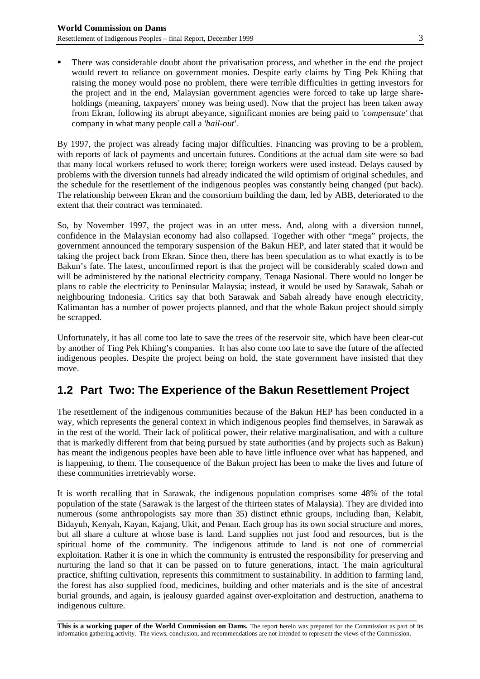! There was considerable doubt about the privatisation process, and whether in the end the project would revert to reliance on government monies. Despite early claims by Ting Pek Khiing that raising the money would pose no problem, there were terrible difficulties in getting investors for the project and in the end, Malaysian government agencies were forced to take up large shareholdings (meaning, taxpayers' money was being used). Now that the project has been taken away from Ekran, following its abrupt abeyance, significant monies are being paid to *'compensate'* that company in what many people call a *'bail-out'*.

By 1997, the project was already facing major difficulties. Financing was proving to be a problem, with reports of lack of payments and uncertain futures. Conditions at the actual dam site were so bad that many local workers refused to work there; foreign workers were used instead. Delays caused by problems with the diversion tunnels had already indicated the wild optimism of original schedules, and the schedule for the resettlement of the indigenous peoples was constantly being changed (put back). The relationship between Ekran and the consortium building the dam, led by ABB, deteriorated to the extent that their contract was terminated.

So, by November 1997, the project was in an utter mess. And, along with a diversion tunnel, confidence in the Malaysian economy had also collapsed. Together with other "mega" projects, the government announced the temporary suspension of the Bakun HEP, and later stated that it would be taking the project back from Ekran. Since then, there has been speculation as to what exactly is to be Bakun's fate. The latest, unconfirmed report is that the project will be considerably scaled down and will be administered by the national electricity company, Tenaga Nasional. There would no longer be plans to cable the electricity to Peninsular Malaysia; instead, it would be used by Sarawak, Sabah or neighbouring Indonesia. Critics say that both Sarawak and Sabah already have enough electricity, Kalimantan has a number of power projects planned, and that the whole Bakun project should simply be scrapped.

Unfortunately, it has all come too late to save the trees of the reservoir site, which have been clear-cut by another of Ting Pek Khiing's companies. It has also come too late to save the future of the affected indigenous peoples. Despite the project being on hold, the state government have insisted that they move.

## **1.2 Part Two: The Experience of the Bakun Resettlement Project**

The resettlement of the indigenous communities because of the Bakun HEP has been conducted in a way, which represents the general context in which indigenous peoples find themselves, in Sarawak as in the rest of the world. Their lack of political power, their relative marginalisation, and with a culture that is markedly different from that being pursued by state authorities (and by projects such as Bakun) has meant the indigenous peoples have been able to have little influence over what has happened, and is happening, to them. The consequence of the Bakun project has been to make the lives and future of these communities irretrievably worse.

It is worth recalling that in Sarawak, the indigenous population comprises some 48% of the total population of the state (Sarawak is the largest of the thirteen states of Malaysia). They are divided into numerous (some anthropologists say more than 35) distinct ethnic groups, including Iban, Kelabit, Bidayuh, Kenyah, Kayan, Kajang, Ukit, and Penan. Each group has its own social structure and mores, but all share a culture at whose base is land. Land supplies not just food and resources, but is the spiritual home of the community. The indigenous attitude to land is not one of commercial exploitation. Rather it is one in which the community is entrusted the responsibility for preserving and nurturing the land so that it can be passed on to future generations, intact. The main agricultural practice, shifting cultivation, represents this commitment to sustainability. In addition to farming land, the forest has also supplied food, medicines, building and other materials and is the site of ancestral burial grounds, and again, is jealousy guarded against over-exploitation and destruction, anathema to indigenous culture.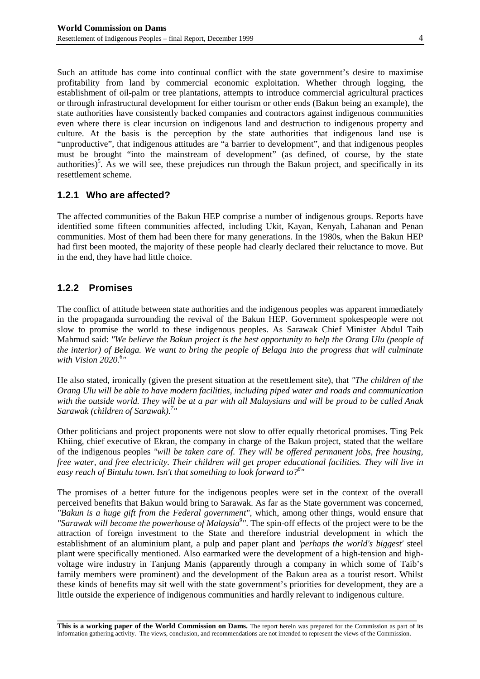Such an attitude has come into continual conflict with the state government's desire to maximise profitability from land by commercial economic exploitation. Whether through logging, the establishment of oil-palm or tree plantations, attempts to introduce commercial agricultural practices or through infrastructural development for either tourism or other ends (Bakun being an example), the state authorities have consistently backed companies and contractors against indigenous communities even where there is clear incursion on indigenous land and destruction to indigenous property and culture. At the basis is the perception by the state authorities that indigenous land use is "unproductive", that indigenous attitudes are "a barrier to development", and that indigenous peoples must be brought "into the mainstream of development" (as defined, of course, by the state authorities)<sup>5</sup>. As we will see, these prejudices run through the Bakun project, and specifically in its resettlement scheme.

#### **1.2.1 Who are affected?**

The affected communities of the Bakun HEP comprise a number of indigenous groups. Reports have identified some fifteen communities affected, including Ukit, Kayan, Kenyah, Lahanan and Penan communities. Most of them had been there for many generations. In the 1980s, when the Bakun HEP had first been mooted, the majority of these people had clearly declared their reluctance to move. But in the end, they have had little choice.

#### **1.2.2 Promises**

The conflict of attitude between state authorities and the indigenous peoples was apparent immediately in the propaganda surrounding the revival of the Bakun HEP. Government spokespeople were not slow to promise the world to these indigenous peoples. As Sarawak Chief Minister Abdul Taib Mahmud said: *"We believe the Bakun project is the best opportunity to help the Orang Ulu (people of the interior) of Belaga. We want to bring the people of Belaga into the progress that will culminate with Vision 2020.6 "*

He also stated, ironically (given the present situation at the resettlement site), that *"The children of the Orang Ulu will be able to have modern facilities, including piped water and roads and communication with the outside world. They will be at a par with all Malaysians and will be proud to be called Anak Sarawak (children of Sarawak).7 "*

Other politicians and project proponents were not slow to offer equally rhetorical promises. Ting Pek Khiing, chief executive of Ekran, the company in charge of the Bakun project, stated that the welfare of the indigenous peoples *"will be taken care of. They will be offered permanent jobs, free housing, free water, and free electricity. Their children will get proper educational facilities. They will live in easy reach of Bintulu town. Isn't that something to look forward to?8 "*

The promises of a better future for the indigenous peoples were set in the context of the overall perceived benefits that Bakun would bring to Sarawak. As far as the State government was concerned, *"Bakun is a huge gift from the Federal government"*, which, among other things, would ensure that *"Sarawak will become the powerhouse of Malaysia9 "*. The spin-off effects of the project were to be the attraction of foreign investment to the State and therefore industrial development in which the establishment of an aluminium plant, a pulp and paper plant and *'perhaps the world's biggest'* steel plant were specifically mentioned. Also earmarked were the development of a high-tension and highvoltage wire industry in Tanjung Manis (apparently through a company in which some of Taib's family members were prominent) and the development of the Bakun area as a tourist resort. Whilst these kinds of benefits may sit well with the state government's priorities for development, they are a little outside the experience of indigenous communities and hardly relevant to indigenous culture.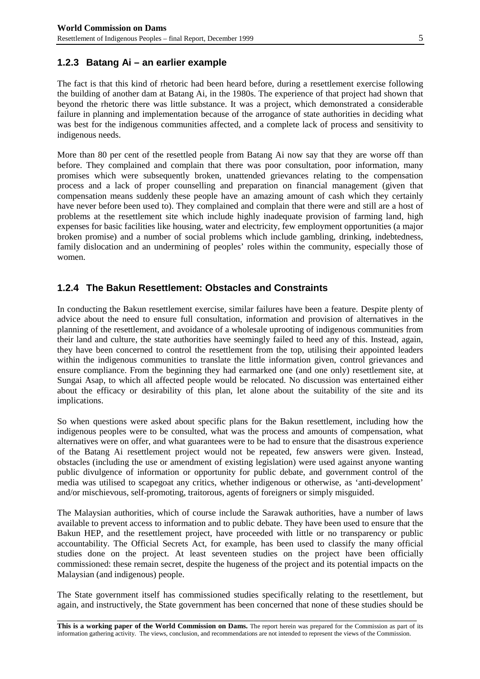#### **1.2.3 Batang Ai – an earlier example**

The fact is that this kind of rhetoric had been heard before, during a resettlement exercise following the building of another dam at Batang Ai, in the 1980s. The experience of that project had shown that beyond the rhetoric there was little substance. It was a project, which demonstrated a considerable failure in planning and implementation because of the arrogance of state authorities in deciding what was best for the indigenous communities affected, and a complete lack of process and sensitivity to indigenous needs.

More than 80 per cent of the resettled people from Batang Ai now say that they are worse off than before. They complained and complain that there was poor consultation, poor information, many promises which were subsequently broken, unattended grievances relating to the compensation process and a lack of proper counselling and preparation on financial management (given that compensation means suddenly these people have an amazing amount of cash which they certainly have never before been used to). They complained and complain that there were and still are a host of problems at the resettlement site which include highly inadequate provision of farming land, high expenses for basic facilities like housing, water and electricity, few employment opportunities (a major broken promise) and a number of social problems which include gambling, drinking, indebtedness, family dislocation and an undermining of peoples' roles within the community, especially those of women.

#### **1.2.4 The Bakun Resettlement: Obstacles and Constraints**

In conducting the Bakun resettlement exercise, similar failures have been a feature. Despite plenty of advice about the need to ensure full consultation, information and provision of alternatives in the planning of the resettlement, and avoidance of a wholesale uprooting of indigenous communities from their land and culture, the state authorities have seemingly failed to heed any of this. Instead, again, they have been concerned to control the resettlement from the top, utilising their appointed leaders within the indigenous communities to translate the little information given, control grievances and ensure compliance. From the beginning they had earmarked one (and one only) resettlement site, at Sungai Asap, to which all affected people would be relocated. No discussion was entertained either about the efficacy or desirability of this plan, let alone about the suitability of the site and its implications.

So when questions were asked about specific plans for the Bakun resettlement, including how the indigenous peoples were to be consulted, what was the process and amounts of compensation, what alternatives were on offer, and what guarantees were to be had to ensure that the disastrous experience of the Batang Ai resettlement project would not be repeated, few answers were given. Instead, obstacles (including the use or amendment of existing legislation) were used against anyone wanting public divulgence of information or opportunity for public debate, and government control of the media was utilised to scapegoat any critics, whether indigenous or otherwise, as 'anti-development' and/or mischievous, self-promoting, traitorous, agents of foreigners or simply misguided.

The Malaysian authorities, which of course include the Sarawak authorities, have a number of laws available to prevent access to information and to public debate. They have been used to ensure that the Bakun HEP, and the resettlement project, have proceeded with little or no transparency or public accountability. The Official Secrets Act, for example, has been used to classify the many official studies done on the project. At least seventeen studies on the project have been officially commissioned: these remain secret, despite the hugeness of the project and its potential impacts on the Malaysian (and indigenous) people.

The State government itself has commissioned studies specifically relating to the resettlement, but again, and instructively, the State government has been concerned that none of these studies should be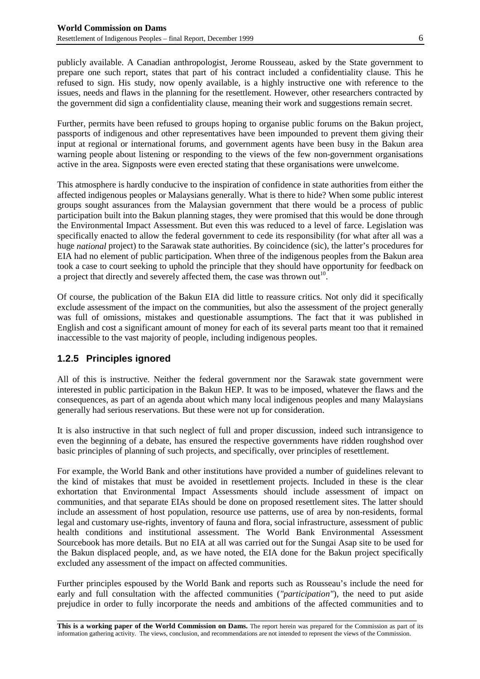publicly available. A Canadian anthropologist, Jerome Rousseau, asked by the State government to prepare one such report, states that part of his contract included a confidentiality clause. This he refused to sign. His study, now openly available, is a highly instructive one with reference to the issues, needs and flaws in the planning for the resettlement. However, other researchers contracted by the government did sign a confidentiality clause, meaning their work and suggestions remain secret.

Further, permits have been refused to groups hoping to organise public forums on the Bakun project, passports of indigenous and other representatives have been impounded to prevent them giving their input at regional or international forums, and government agents have been busy in the Bakun area warning people about listening or responding to the views of the few non-government organisations active in the area. Signposts were even erected stating that these organisations were unwelcome.

This atmosphere is hardly conducive to the inspiration of confidence in state authorities from either the affected indigenous peoples or Malaysians generally. What is there to hide? When some public interest groups sought assurances from the Malaysian government that there would be a process of public participation built into the Bakun planning stages, they were promised that this would be done through the Environmental Impact Assessment. But even this was reduced to a level of farce. Legislation was specifically enacted to allow the federal government to cede its responsibility (for what after all was a huge *national* project) to the Sarawak state authorities. By coincidence (sic), the latter's procedures for EIA had no element of public participation. When three of the indigenous peoples from the Bakun area took a case to court seeking to uphold the principle that they should have opportunity for feedback on a project that directly and severely affected them, the case was thrown out<sup>10</sup>.

Of course, the publication of the Bakun EIA did little to reassure critics. Not only did it specifically exclude assessment of the impact on the communities, but also the assessment of the project generally was full of omissions, mistakes and questionable assumptions. The fact that it was published in English and cost a significant amount of money for each of its several parts meant too that it remained inaccessible to the vast majority of people, including indigenous peoples.

#### **1.2.5 Principles ignored**

All of this is instructive. Neither the federal government nor the Sarawak state government were interested in public participation in the Bakun HEP. It was to be imposed, whatever the flaws and the consequences, as part of an agenda about which many local indigenous peoples and many Malaysians generally had serious reservations. But these were not up for consideration.

It is also instructive in that such neglect of full and proper discussion, indeed such intransigence to even the beginning of a debate, has ensured the respective governments have ridden roughshod over basic principles of planning of such projects, and specifically, over principles of resettlement.

For example, the World Bank and other institutions have provided a number of guidelines relevant to the kind of mistakes that must be avoided in resettlement projects. Included in these is the clear exhortation that Environmental Impact Assessments should include assessment of impact on communities, and that separate EIAs should be done on proposed resettlement sites. The latter should include an assessment of host population, resource use patterns, use of area by non-residents, formal legal and customary use-rights, inventory of fauna and flora, social infrastructure, assessment of public health conditions and institutional assessment. The World Bank Environmental Assessment Sourcebook has more details. But no EIA at all was carried out for the Sungai Asap site to be used for the Bakun displaced people, and, as we have noted, the EIA done for the Bakun project specifically excluded any assessment of the impact on affected communities.

Further principles espoused by the World Bank and reports such as Rousseau's include the need for early and full consultation with the affected communities (*"participation"*), the need to put aside prejudice in order to fully incorporate the needs and ambitions of the affected communities and to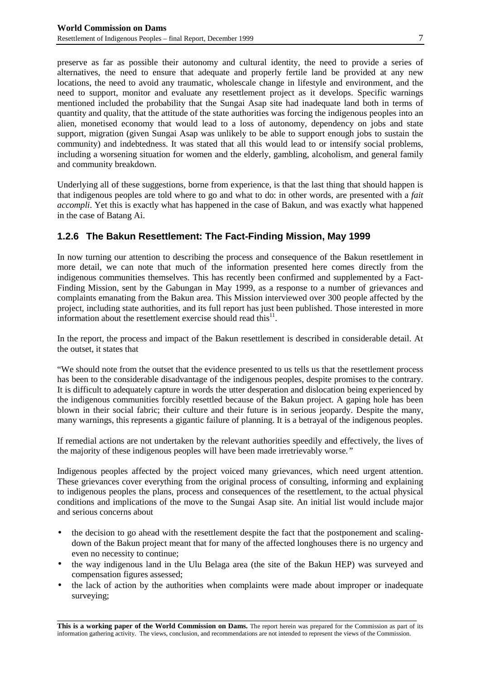preserve as far as possible their autonomy and cultural identity, the need to provide a series of alternatives, the need to ensure that adequate and properly fertile land be provided at any new locations, the need to avoid any traumatic, wholescale change in lifestyle and environment, and the need to support, monitor and evaluate any resettlement project as it develops. Specific warnings mentioned included the probability that the Sungai Asap site had inadequate land both in terms of quantity and quality, that the attitude of the state authorities was forcing the indigenous peoples into an alien, monetised economy that would lead to a loss of autonomy, dependency on jobs and state support, migration (given Sungai Asap was unlikely to be able to support enough jobs to sustain the community) and indebtedness. It was stated that all this would lead to or intensify social problems, including a worsening situation for women and the elderly, gambling, alcoholism, and general family and community breakdown.

Underlying all of these suggestions, borne from experience, is that the last thing that should happen is that indigenous peoples are told where to go and what to do: in other words, are presented with a *fait accompli*. Yet this is exactly what has happened in the case of Bakun, and was exactly what happened in the case of Batang Ai.

#### **1.2.6 The Bakun Resettlement: The Fact-Finding Mission, May 1999**

In now turning our attention to describing the process and consequence of the Bakun resettlement in more detail, we can note that much of the information presented here comes directly from the indigenous communities themselves. This has recently been confirmed and supplemented by a Fact-Finding Mission, sent by the Gabungan in May 1999, as a response to a number of grievances and complaints emanating from the Bakun area. This Mission interviewed over 300 people affected by the project, including state authorities, and its full report has just been published. Those interested in more information about the resettlement exercise should read this $^{11}$ .

In the report, the process and impact of the Bakun resettlement is described in considerable detail. At the outset, it states that

"We should note from the outset that the evidence presented to us tells us that the resettlement process has been to the considerable disadvantage of the indigenous peoples, despite promises to the contrary. It is difficult to adequately capture in words the utter desperation and dislocation being experienced by the indigenous communities forcibly resettled because of the Bakun project. A gaping hole has been blown in their social fabric; their culture and their future is in serious jeopardy. Despite the many, many warnings, this represents a gigantic failure of planning. It is a betrayal of the indigenous peoples.

If remedial actions are not undertaken by the relevant authorities speedily and effectively, the lives of the majority of these indigenous peoples will have been made irretrievably worse*."*

Indigenous peoples affected by the project voiced many grievances, which need urgent attention. These grievances cover everything from the original process of consulting, informing and explaining to indigenous peoples the plans, process and consequences of the resettlement, to the actual physical conditions and implications of the move to the Sungai Asap site. An initial list would include major and serious concerns about

- the decision to go ahead with the resettlement despite the fact that the postponement and scalingdown of the Bakun project meant that for many of the affected longhouses there is no urgency and even no necessity to continue;
- the way indigenous land in the Ulu Belaga area (the site of the Bakun HEP) was surveyed and compensation figures assessed;
- the lack of action by the authorities when complaints were made about improper or inadequate surveying;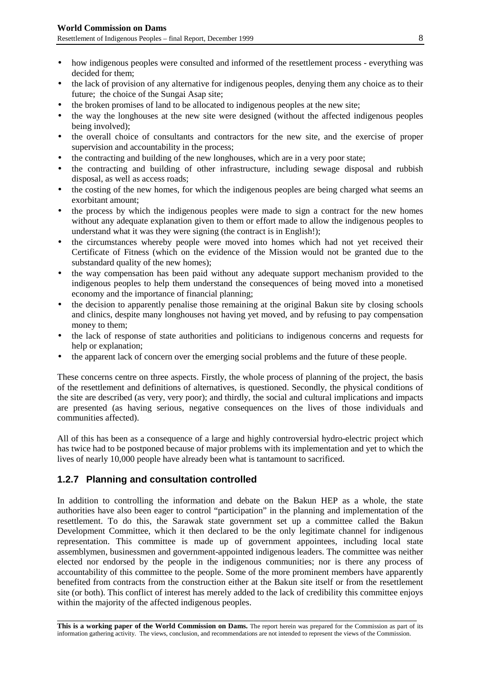- how indigenous peoples were consulted and informed of the resettlement process everything was decided for them;
- the lack of provision of any alternative for indigenous peoples, denying them any choice as to their future; the choice of the Sungai Asap site;
- the broken promises of land to be allocated to indigenous peoples at the new site;
- the way the longhouses at the new site were designed (without the affected indigenous peoples being involved);
- the overall choice of consultants and contractors for the new site, and the exercise of proper supervision and accountability in the process;
- the contracting and building of the new longhouses, which are in a very poor state;
- the contracting and building of other infrastructure, including sewage disposal and rubbish disposal, as well as access roads;
- the costing of the new homes, for which the indigenous peoples are being charged what seems an exorbitant amount;
- the process by which the indigenous peoples were made to sign a contract for the new homes without any adequate explanation given to them or effort made to allow the indigenous peoples to understand what it was they were signing (the contract is in English!);
- the circumstances whereby people were moved into homes which had not yet received their Certificate of Fitness (which on the evidence of the Mission would not be granted due to the substandard quality of the new homes);
- the way compensation has been paid without any adequate support mechanism provided to the indigenous peoples to help them understand the consequences of being moved into a monetised economy and the importance of financial planning;
- the decision to apparently penalise those remaining at the original Bakun site by closing schools and clinics, despite many longhouses not having yet moved, and by refusing to pay compensation money to them;
- the lack of response of state authorities and politicians to indigenous concerns and requests for help or explanation;
- the apparent lack of concern over the emerging social problems and the future of these people.

These concerns centre on three aspects. Firstly, the whole process of planning of the project, the basis of the resettlement and definitions of alternatives, is questioned. Secondly, the physical conditions of the site are described (as very, very poor); and thirdly, the social and cultural implications and impacts are presented (as having serious, negative consequences on the lives of those individuals and communities affected).

All of this has been as a consequence of a large and highly controversial hydro-electric project which has twice had to be postponed because of major problems with its implementation and yet to which the lives of nearly 10,000 people have already been what is tantamount to sacrificed.

#### **1.2.7 Planning and consultation controlled**

In addition to controlling the information and debate on the Bakun HEP as a whole, the state authorities have also been eager to control "participation" in the planning and implementation of the resettlement. To do this, the Sarawak state government set up a committee called the Bakun Development Committee, which it then declared to be the only legitimate channel for indigenous representation. This committee is made up of government appointees, including local state assemblymen, businessmen and government-appointed indigenous leaders. The committee was neither elected nor endorsed by the people in the indigenous communities; nor is there any process of accountability of this committee to the people. Some of the more prominent members have apparently benefited from contracts from the construction either at the Bakun site itself or from the resettlement site (or both). This conflict of interest has merely added to the lack of credibility this committee enjoys within the majority of the affected indigenous peoples.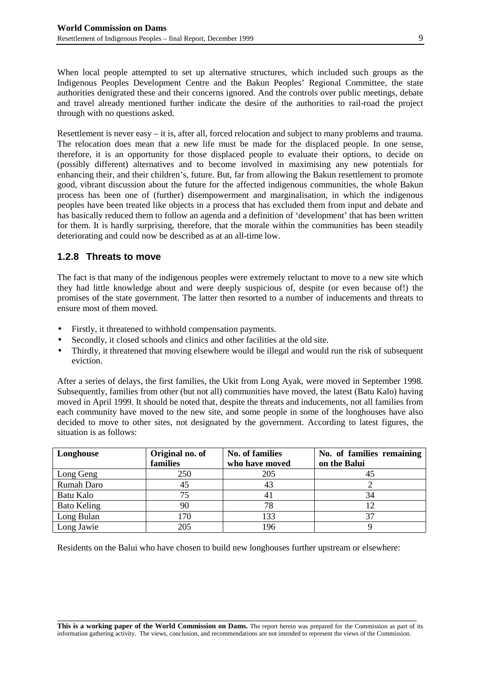When local people attempted to set up alternative structures, which included such groups as the Indigenous Peoples Development Centre and the Bakun Peoples' Regional Committee, the state authorities denigrated these and their concerns ignored. And the controls over public meetings, debate and travel already mentioned further indicate the desire of the authorities to rail-road the project through with no questions asked.

Resettlement is never easy – it is, after all, forced relocation and subject to many problems and trauma. The relocation does mean that a new life must be made for the displaced people. In one sense, therefore, it is an opportunity for those displaced people to evaluate their options, to decide on (possibly different) alternatives and to become involved in maximising any new potentials for enhancing their, and their children's, future. But, far from allowing the Bakun resettlement to promote good, vibrant discussion about the future for the affected indigenous communities, the whole Bakun process has been one of (further) disempowerment and marginalisation, in which the indigenous peoples have been treated like objects in a process that has excluded them from input and debate and has basically reduced them to follow an agenda and a definition of 'development' that has been written for them. It is hardly surprising, therefore, that the morale within the communities has been steadily deteriorating and could now be described as at an all-time low.

#### **1.2.8 Threats to move**

The fact is that many of the indigenous peoples were extremely reluctant to move to a new site which they had little knowledge about and were deeply suspicious of, despite (or even because of!) the promises of the state government. The latter then resorted to a number of inducements and threats to ensure most of them moved.

- Firstly, it threatened to withhold compensation payments.
- Secondly, it closed schools and clinics and other facilities at the old site.
- Thirdly, it threatened that moving elsewhere would be illegal and would run the risk of subsequent eviction.

After a series of delays, the first families, the Ukit from Long Ayak, were moved in September 1998. Subsequently, families from other (but not all) communities have moved, the latest (Batu Kalo) having moved in April 1999. It should be noted that, despite the threats and inducements, not all families from each community have moved to the new site, and some people in some of the longhouses have also decided to move to other sites, not designated by the government. According to latest figures, the situation is as follows:

| Longhouse   | Original no. of<br>families | <b>No. of families</b><br>who have moved | No. of families remaining<br>on the Balui |
|-------------|-----------------------------|------------------------------------------|-------------------------------------------|
| Long Geng   | 250                         | 205                                      |                                           |
| Rumah Daro  | 45                          | 43                                       |                                           |
| Batu Kalo   | 75                          | 4 I                                      | 34                                        |
| Bato Keling | 90                          | 78                                       |                                           |
| Long Bulan  | 170                         | 133                                      |                                           |
| Long Jawie  | 205                         | 196                                      |                                           |

Residents on the Balui who have chosen to build new longhouses further upstream or elsewhere: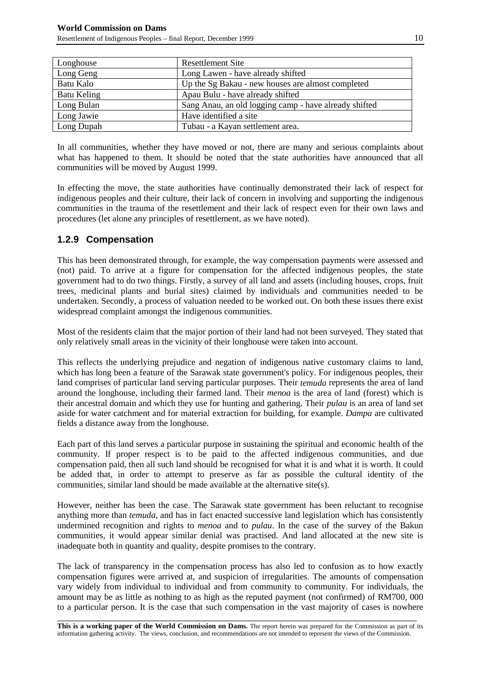| Longhouse   | <b>Resettlement Site</b>                              |
|-------------|-------------------------------------------------------|
| Long Geng   | Long Lawen - have already shifted                     |
| Batu Kalo   | Up the Sg Bakau - new houses are almost completed     |
| Batu Keling | Apau Bulu - have already shifted                      |
| Long Bulan  | Sang Anau, an old logging camp - have already shifted |
| Long Jawie  | Have identified a site                                |
| Long Dupah  | Tubau - a Kayan settlement area.                      |

In all communities, whether they have moved or not, there are many and serious complaints about what has happened to them. It should be noted that the state authorities have announced that all communities will be moved by August 1999.

In effecting the move, the state authorities have continually demonstrated their lack of respect for indigenous peoples and their culture, their lack of concern in involving and supporting the indigenous communities in the trauma of the resettlement and their lack of respect even for their own laws and procedures (let alone any principles of resettlement, as we have noted).

#### **1.2.9 Compensation**

This has been demonstrated through, for example, the way compensation payments were assessed and (not) paid. To arrive at a figure for compensation for the affected indigenous peoples, the state government had to do two things. Firstly, a survey of all land and assets (including houses, crops, fruit trees, medicinal plants and burial sites) claimed by individuals and communities needed to be undertaken. Secondly, a process of valuation needed to be worked out. On both these issues there exist widespread complaint amongst the indigenous communities.

Most of the residents claim that the major portion of their land had not been surveyed. They stated that only relatively small areas in the vicinity of their longhouse were taken into account.

This reflects the underlying prejudice and negation of indigenous native customary claims to land, which has long been a feature of the Sarawak state government's policy. For indigenous peoples, their land comprises of particular land serving particular purposes. Their *temuda* represents the area of land around the longhouse, including their farmed land. Their *menoa* is the area of land (forest) which is their ancestral domain and which they use for hunting and gathering. Their *pulau* is an area of land set aside for water catchment and for material extraction for building, for example. *Dampa* are cultivated fields a distance away from the longhouse.

Each part of this land serves a particular purpose in sustaining the spiritual and economic health of the community. If proper respect is to be paid to the affected indigenous communities, and due compensation paid, then all such land should be recognised for what it is and what it is worth. It could be added that, in order to attempt to preserve as far as possible the cultural identity of the communities, similar land should be made available at the alternative site(s).

However, neither has been the case. The Sarawak state government has been reluctant to recognise anything more than *temuda*, and has in fact enacted successive land legislation which has consistently undermined recognition and rights to *menoa* and to *pulau*. In the case of the survey of the Bakun communities, it would appear similar denial was practised. And land allocated at the new site is inadequate both in quantity and quality, despite promises to the contrary.

The lack of transparency in the compensation process has also led to confusion as to how exactly compensation figures were arrived at, and suspicion of irregularities. The amounts of compensation vary widely from individual to individual and from community to community. For individuals, the amount may be as little as nothing to as high as the reputed payment (not confirmed) of RM700, 000 to a particular person. It is the case that such compensation in the vast majority of cases is nowhere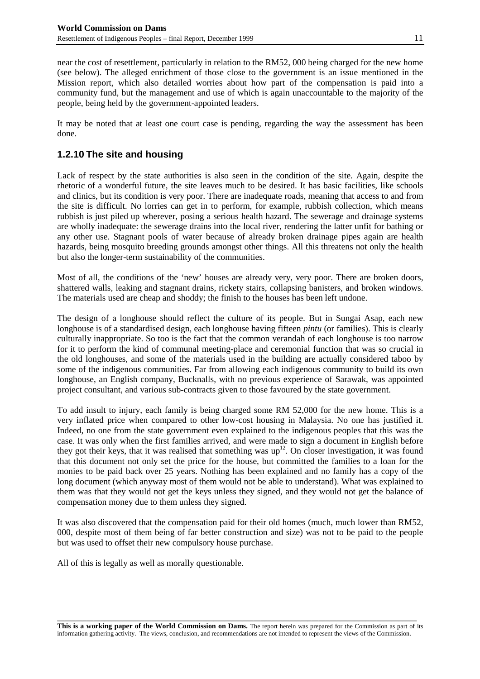near the cost of resettlement, particularly in relation to the RM52, 000 being charged for the new home (see below). The alleged enrichment of those close to the government is an issue mentioned in the Mission report, which also detailed worries about how part of the compensation is paid into a community fund, but the management and use of which is again unaccountable to the majority of the people, being held by the government-appointed leaders.

It may be noted that at least one court case is pending, regarding the way the assessment has been done.

#### **1.2.10 The site and housing**

Lack of respect by the state authorities is also seen in the condition of the site. Again, despite the rhetoric of a wonderful future, the site leaves much to be desired. It has basic facilities, like schools and clinics, but its condition is very poor. There are inadequate roads, meaning that access to and from the site is difficult. No lorries can get in to perform, for example, rubbish collection, which means rubbish is just piled up wherever, posing a serious health hazard. The sewerage and drainage systems are wholly inadequate: the sewerage drains into the local river, rendering the latter unfit for bathing or any other use. Stagnant pools of water because of already broken drainage pipes again are health hazards, being mosquito breeding grounds amongst other things. All this threatens not only the health but also the longer-term sustainability of the communities.

Most of all, the conditions of the 'new' houses are already very, very poor. There are broken doors, shattered walls, leaking and stagnant drains, rickety stairs, collapsing banisters, and broken windows. The materials used are cheap and shoddy; the finish to the houses has been left undone.

The design of a longhouse should reflect the culture of its people. But in Sungai Asap, each new longhouse is of a standardised design, each longhouse having fifteen *pintu* (or families). This is clearly culturally inappropriate. So too is the fact that the common verandah of each longhouse is too narrow for it to perform the kind of communal meeting-place and ceremonial function that was so crucial in the old longhouses, and some of the materials used in the building are actually considered taboo by some of the indigenous communities. Far from allowing each indigenous community to build its own longhouse, an English company, Bucknalls, with no previous experience of Sarawak, was appointed project consultant, and various sub-contracts given to those favoured by the state government.

To add insult to injury, each family is being charged some RM 52,000 for the new home. This is a very inflated price when compared to other low-cost housing in Malaysia. No one has justified it. Indeed, no one from the state government even explained to the indigenous peoples that this was the case. It was only when the first families arrived, and were made to sign a document in English before they got their keys, that it was realised that something was  $up<sup>12</sup>$ . On closer investigation, it was found that this document not only set the price for the house, but committed the families to a loan for the monies to be paid back over 25 years. Nothing has been explained and no family has a copy of the long document (which anyway most of them would not be able to understand). What was explained to them was that they would not get the keys unless they signed, and they would not get the balance of compensation money due to them unless they signed.

It was also discovered that the compensation paid for their old homes (much, much lower than RM52, 000, despite most of them being of far better construction and size) was not to be paid to the people but was used to offset their new compulsory house purchase.

All of this is legally as well as morally questionable.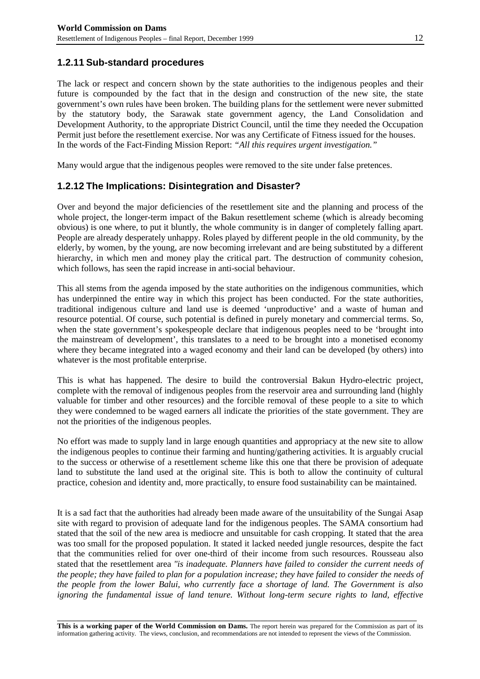#### **1.2.11 Sub-standard procedures**

The lack or respect and concern shown by the state authorities to the indigenous peoples and their future is compounded by the fact that in the design and construction of the new site, the state government's own rules have been broken. The building plans for the settlement were never submitted by the statutory body, the Sarawak state government agency, the Land Consolidation and Development Authority, to the appropriate District Council, until the time they needed the Occupation Permit just before the resettlement exercise. Nor was any Certificate of Fitness issued for the houses. In the words of the Fact-Finding Mission Report: *"All this requires urgent investigation."*

Many would argue that the indigenous peoples were removed to the site under false pretences.

#### **1.2.12 The Implications: Disintegration and Disaster?**

Over and beyond the major deficiencies of the resettlement site and the planning and process of the whole project, the longer-term impact of the Bakun resettlement scheme (which is already becoming obvious) is one where, to put it bluntly, the whole community is in danger of completely falling apart. People are already desperately unhappy. Roles played by different people in the old community, by the elderly, by women, by the young, are now becoming irrelevant and are being substituted by a different hierarchy, in which men and money play the critical part. The destruction of community cohesion, which follows, has seen the rapid increase in anti-social behaviour.

This all stems from the agenda imposed by the state authorities on the indigenous communities, which has underpinned the entire way in which this project has been conducted. For the state authorities, traditional indigenous culture and land use is deemed 'unproductive' and a waste of human and resource potential. Of course, such potential is defined in purely monetary and commercial terms. So, when the state government's spokespeople declare that indigenous peoples need to be 'brought into the mainstream of development', this translates to a need to be brought into a monetised economy where they became integrated into a waged economy and their land can be developed (by others) into whatever is the most profitable enterprise.

This is what has happened. The desire to build the controversial Bakun Hydro-electric project, complete with the removal of indigenous peoples from the reservoir area and surrounding land (highly valuable for timber and other resources) and the forcible removal of these people to a site to which they were condemned to be waged earners all indicate the priorities of the state government. They are not the priorities of the indigenous peoples.

No effort was made to supply land in large enough quantities and appropriacy at the new site to allow the indigenous peoples to continue their farming and hunting/gathering activities. It is arguably crucial to the success or otherwise of a resettlement scheme like this one that there be provision of adequate land to substitute the land used at the original site. This is both to allow the continuity of cultural practice, cohesion and identity and, more practically, to ensure food sustainability can be maintained.

It is a sad fact that the authorities had already been made aware of the unsuitability of the Sungai Asap site with regard to provision of adequate land for the indigenous peoples. The SAMA consortium had stated that the soil of the new area is mediocre and unsuitable for cash cropping. It stated that the area was too small for the proposed population. It stated it lacked needed jungle resources, despite the fact that the communities relied for over one-third of their income from such resources. Rousseau also stated that the resettlement area *"is inadequate. Planners have failed to consider the current needs of the people; they have failed to plan for a population increase; they have failed to consider the needs of the people from the lower Balui, who currently face a shortage of land. The Government is also ignoring the fundamental issue of land tenure. Without long-term secure rights to land, effective*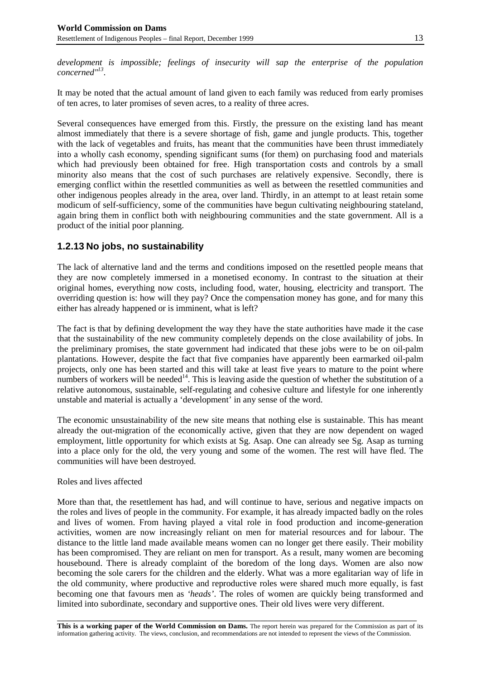*development is impossible; feelings of insecurity will sap the enterprise of the population concerned"13*.

It may be noted that the actual amount of land given to each family was reduced from early promises of ten acres, to later promises of seven acres, to a reality of three acres.

Several consequences have emerged from this. Firstly, the pressure on the existing land has meant almost immediately that there is a severe shortage of fish, game and jungle products. This, together with the lack of vegetables and fruits, has meant that the communities have been thrust immediately into a wholly cash economy, spending significant sums (for them) on purchasing food and materials which had previously been obtained for free. High transportation costs and controls by a small minority also means that the cost of such purchases are relatively expensive. Secondly, there is emerging conflict within the resettled communities as well as between the resettled communities and other indigenous peoples already in the area, over land. Thirdly, in an attempt to at least retain some modicum of self-sufficiency, some of the communities have begun cultivating neighbouring stateland, again bring them in conflict both with neighbouring communities and the state government. All is a product of the initial poor planning.

#### **1.2.13 No jobs, no sustainability**

The lack of alternative land and the terms and conditions imposed on the resettled people means that they are now completely immersed in a monetised economy. In contrast to the situation at their original homes, everything now costs, including food, water, housing, electricity and transport. The overriding question is: how will they pay? Once the compensation money has gone, and for many this either has already happened or is imminent, what is left?

The fact is that by defining development the way they have the state authorities have made it the case that the sustainability of the new community completely depends on the close availability of jobs. In the preliminary promises, the state government had indicated that these jobs were to be on oil-palm plantations. However, despite the fact that five companies have apparently been earmarked oil-palm projects, only one has been started and this will take at least five years to mature to the point where numbers of workers will be needed<sup>14</sup>. This is leaving aside the question of whether the substitution of a relative autonomous, sustainable, self-regulating and cohesive culture and lifestyle for one inherently unstable and material is actually a 'development' in any sense of the word.

The economic unsustainability of the new site means that nothing else is sustainable. This has meant already the out-migration of the economically active, given that they are now dependent on waged employment, little opportunity for which exists at Sg. Asap. One can already see Sg. Asap as turning into a place only for the old, the very young and some of the women. The rest will have fled. The communities will have been destroyed.

#### Roles and lives affected

More than that, the resettlement has had, and will continue to have, serious and negative impacts on the roles and lives of people in the community. For example, it has already impacted badly on the roles and lives of women. From having played a vital role in food production and income-generation activities, women are now increasingly reliant on men for material resources and for labour. The distance to the little land made available means women can no longer get there easily. Their mobility has been compromised. They are reliant on men for transport. As a result, many women are becoming housebound. There is already complaint of the boredom of the long days. Women are also now becoming the sole carers for the children and the elderly. What was a more egalitarian way of life in the old community, where productive and reproductive roles were shared much more equally, is fast becoming one that favours men as *'heads'*. The roles of women are quickly being transformed and limited into subordinate, secondary and supportive ones. Their old lives were very different.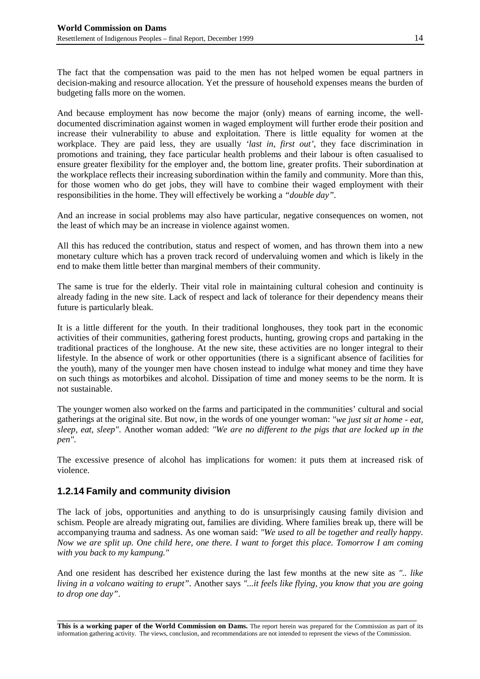The fact that the compensation was paid to the men has not helped women be equal partners in decision-making and resource allocation. Yet the pressure of household expenses means the burden of budgeting falls more on the women.

And because employment has now become the major (only) means of earning income, the welldocumented discrimination against women in waged employment will further erode their position and increase their vulnerability to abuse and exploitation. There is little equality for women at the workplace. They are paid less, they are usually *'last in, first out'*, they face discrimination in promotions and training, they face particular health problems and their labour is often casualised to ensure greater flexibility for the employer and, the bottom line, greater profits. Their subordination at the workplace reflects their increasing subordination within the family and community. More than this, for those women who do get jobs, they will have to combine their waged employment with their responsibilities in the home. They will effectively be working a *"double day"*.

And an increase in social problems may also have particular, negative consequences on women, not the least of which may be an increase in violence against women.

All this has reduced the contribution, status and respect of women, and has thrown them into a new monetary culture which has a proven track record of undervaluing women and which is likely in the end to make them little better than marginal members of their community.

The same is true for the elderly. Their vital role in maintaining cultural cohesion and continuity is already fading in the new site. Lack of respect and lack of tolerance for their dependency means their future is particularly bleak.

It is a little different for the youth. In their traditional longhouses, they took part in the economic activities of their communities, gathering forest products, hunting, growing crops and partaking in the traditional practices of the longhouse. At the new site, these activities are no longer integral to their lifestyle. In the absence of work or other opportunities (there is a significant absence of facilities for the youth), many of the younger men have chosen instead to indulge what money and time they have on such things as motorbikes and alcohol. Dissipation of time and money seems to be the norm. It is not sustainable.

The younger women also worked on the farms and participated in the communities' cultural and social gatherings at the original site. But now, in the words of one younger woman: *"we just sit at home - eat, sleep, eat, sleep"*. Another woman added: *"We are no different to the pigs that are locked up in the pen"*.

The excessive presence of alcohol has implications for women: it puts them at increased risk of violence.

#### **1.2.14 Family and community division**

The lack of jobs, opportunities and anything to do is unsurprisingly causing family division and schism. People are already migrating out, families are dividing. Where families break up, there will be accompanying trauma and sadness. As one woman said: *"We used to all be together and really happy. Now we are split up. One child here, one there. I want to forget this place. Tomorrow I am coming with you back to my kampung."*

And one resident has described her existence during the last few months at the new site as *".. like living in a volcano waiting to erupt"*. Another says *"...it feels like flying, you know that you are going to drop one day"*.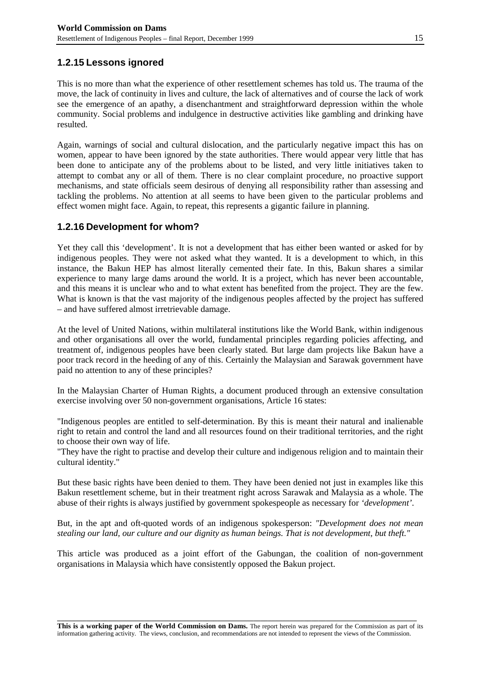#### **1.2.15 Lessons ignored**

This is no more than what the experience of other resettlement schemes has told us. The trauma of the move, the lack of continuity in lives and culture, the lack of alternatives and of course the lack of work see the emergence of an apathy, a disenchantment and straightforward depression within the whole community. Social problems and indulgence in destructive activities like gambling and drinking have resulted.

Again, warnings of social and cultural dislocation, and the particularly negative impact this has on women, appear to have been ignored by the state authorities. There would appear very little that has been done to anticipate any of the problems about to be listed, and very little initiatives taken to attempt to combat any or all of them. There is no clear complaint procedure, no proactive support mechanisms, and state officials seem desirous of denying all responsibility rather than assessing and tackling the problems. No attention at all seems to have been given to the particular problems and effect women might face. Again, to repeat, this represents a gigantic failure in planning.

#### **1.2.16 Development for whom?**

Yet they call this 'development'. It is not a development that has either been wanted or asked for by indigenous peoples. They were not asked what they wanted. It is a development to which, in this instance, the Bakun HEP has almost literally cemented their fate. In this, Bakun shares a similar experience to many large dams around the world. It is a project, which has never been accountable, and this means it is unclear who and to what extent has benefited from the project. They are the few. What is known is that the vast majority of the indigenous peoples affected by the project has suffered – and have suffered almost irretrievable damage.

At the level of United Nations, within multilateral institutions like the World Bank, within indigenous and other organisations all over the world, fundamental principles regarding policies affecting, and treatment of, indigenous peoples have been clearly stated. But large dam projects like Bakun have a poor track record in the heeding of any of this. Certainly the Malaysian and Sarawak government have paid no attention to any of these principles?

In the Malaysian Charter of Human Rights, a document produced through an extensive consultation exercise involving over 50 non-government organisations, Article 16 states:

"Indigenous peoples are entitled to self-determination. By this is meant their natural and inalienable right to retain and control the land and all resources found on their traditional territories, and the right to choose their own way of life.

"They have the right to practise and develop their culture and indigenous religion and to maintain their cultural identity."

But these basic rights have been denied to them. They have been denied not just in examples like this Bakun resettlement scheme, but in their treatment right across Sarawak and Malaysia as a whole. The abuse of their rights is always justified by government spokespeople as necessary for *'development'*.

But, in the apt and oft-quoted words of an indigenous spokesperson: *"Development does not mean stealing our land, our culture and our dignity as human beings. That is not development, but theft."*

This article was produced as a joint effort of the Gabungan, the coalition of non-government organisations in Malaysia which have consistently opposed the Bakun project.